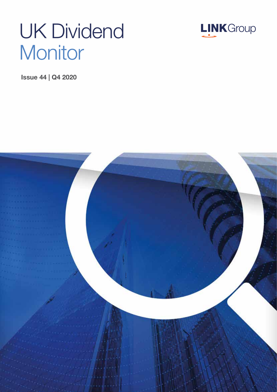# UK Dividend **Monitor**



Issue 44 | Q4 2020

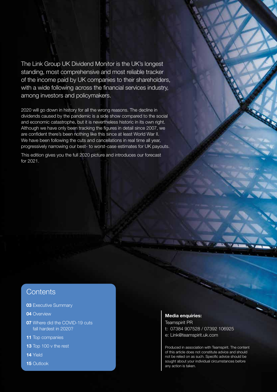The Link Group UK Dividend Monitor is the UK's longest standing, most comprehensive and most reliable tracker of the income paid by UK companies to their shareholders, with a wide following across the financial services industry, among investors and policymakers.

2020 will go down in history for all the wrong reasons. The decline in dividends caused by the pandemic is a side show compared to the social and economic catastrophe, but it is nevertheless historic in its own right. Although we have only been tracking the figures in detail since 2007, we are confident there's been nothing like this since at least World War II. We have been following the cuts and cancellations in real time all year, progressively narrowing our best- to worst-case estimates for UK payouts.

This edition gives you the full 2020 picture and introduces our forecast for 2021.

### **Contents**

- **03 Executive Summary**
- 04 Overview
- 07 Where did the COVID-19 cuts fall hardest in 2020?
- 11 Top companies
- 13 Top 100 v the rest
- 14 Yield
- 15 Outlook

#### Media enquiries:

Teamspirit PR t: 07384 907528 / 07392 106925 e: Link@teamspirit.uk.com

Produced in association with Teamspirit. The content of this article does not constitute advice and should not be relied on as such. Specific advice should be sought about your individual circumstances before any action is taken.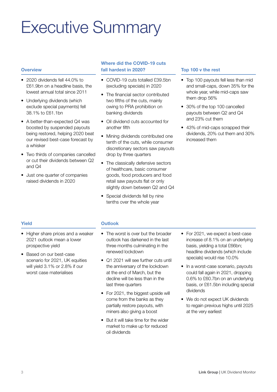## Executive Summary

### **Overview**

- 2020 dividends fell 44.0% to £61.9bn on a headline basis, the lowest annual total since 2011
- Underlying dividends (which exclude special payments) fell 38.1% to £61.1bn
- A better-than-expected Q4 was boosted by suspended payouts being restored, helping 2020 beat our revised best-case forecast by a whisker
- Two thirds of companies cancelled or cut their dividends between Q2 and Q4
- Just one quarter of companies raised dividends in 2020

### Where did the COVID-19 cuts fall hardest in 2020?

- COVID-19 cuts totalled £39.5bn (excluding specials) in 2020
- The financial sector contributed two fifths of the cuts, mainly owing to PRA prohibition on banking dividends
- Oil dividend cuts accounted for another fifth
- Mining dividends contributed one tenth of the cuts, while consumer discretionary sectors saw payouts drop by three quarters
- The classically defensive sectors of healthcare, basic consumer goods, food producers and food retail saw payouts flat or only slightly down between Q2 and Q4
- Special dividends fell by nine tenths over the whole year

### Top 100 v the rest

- Top 100 payouts fell less than mid and small-caps, down 35% for the whole year, while mid-caps saw them drop 56%
- 30% of the top 100 cancelled payouts between Q2 and Q4 and 23% cut them
- 43% of mid-caps scrapped their dividends, 20% cut them and 30% increased them

### Yield

- Higher share prices and a weaker 2021 outlook mean a lower prospective yield
- Based on our best-case scenario for 2021, UK equities will yield 3.1% or 2.8% if our worst case materialises

### **Outlook**

- The worst is over but the broader outlook has darkened in the last three months culminating in the renewed lockdown
- Q1 2021 will see further cuts until the anniversary of the lockdown at the end of March, but the decline will be less than in the last three quarters
- For 2021, the biggest upside will come from the banks as they partially restore payouts, with miners also giving a boost
- But it will take time for the wider market to make up for reduced oil dividends
- For 2021, we expect a best-case increase of 8.1% on an underlying basis, yielding a total £66bn; headline dividends (which include specials) would rise 10.0%
- In a worst-case scenario, payouts could fall again in 2021, dropping 0.6% to £60.7bn on an underlying basis, or £61.5bn including special dividends
- We do not expect UK dividends to regain previous highs until 2025 at the very earliest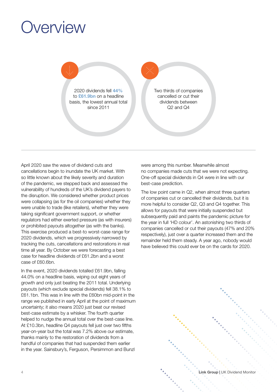## **Overview**

2020 dividends fell 44% to **£61.9bn** on a headline basis, the lowest annual total since 2011

Two thirds of companies cancelled or cut their dividends between Q2 and Q4

April 2020 saw the wave of dividend cuts and cancellations begin to inundate the UK market. With so little known about the likely severity and duration of the pandemic, we stepped back and assessed the vulnerability of hundreds of the UK's dividend payers to the disruption. We considered whether product prices were collapsing (as for the oil companies) whether they were unable to trade (like retailers), whether they were taking significant government support, or whether regulators had either exerted pressure (as with insurers) or prohibited payouts altogether (as with the banks). This exercise produced a best-to worst-case range for 2020 dividends, which we progressively narrowed by tracking the cuts, cancellations and restorations in real time all year. By October we were forecasting a best case for headline dividends of £61.2bn and a worst case of £60.6bn.

In the event, 2020 dividends totalled £61.9bn, falling 44.0% on a headline basis, wiping out eight years of growth and only just beating the 2011 total. Underlying payouts (which exclude special dividends) fell 38.1% to £61.1bn. This was in line with the £60bn mid-point in the range we published in early April at the point of maximum uncertainty; it also means 2020 just beat our revised best-case estimate by a whisker. The fourth quarter helped to nudge the annual total over the best-case line. At £10.3bn, headline Q4 payouts fell just over two fifths year-on-year but the total was 7.2% above our estimate, thanks mainly to the restoration of dividends from a handful of companies that had suspended them earlier in the year. Sainsbury's, Ferguson, Persimmon and Bunzl

were among this number. Meanwhile almost no companies made cuts that we were not expecting. One-off special dividends in Q4 were in line with our best-case prediction.

The low point came in Q2, when almost three quarters of companies cut or cancelled their dividends, but it is more helpful to consider Q2, Q3 and Q4 together. This allows for payouts that were initially suspended but subsequently paid and paints the pandemic picture for the year in full 'HD colour'. An astonishing two thirds of companies cancelled or cut their payouts (47% and 20% respectively), just over a quarter increased them and the remainder held them steady. A year ago, nobody would have believed this could ever be on the cards for 2020.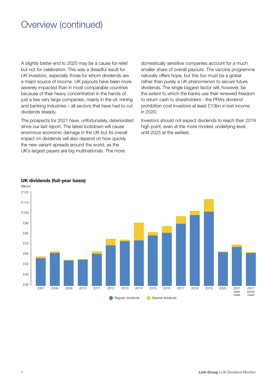A slightly better end to 2020 may be a cause for relief but not for celebration. This was a dreadful result for UK investors, especially those for whom dividends are a major source of income. UK payouts have been more severely impacted than in most comparable countries because of their heavy concentration in the hands of just a few very large companies, mainly in the oil, mining and banking industries – all sectors that have had to cut dividends steeply.

The prospects for 2021 have, unfortunately, deteriorated since our last report. The latest lockdown will cause enormous economic damage in the UK but its overall impact on dividends will also depend on how quickly the new variant spreads around the world, as the UK's largest payers are big multinationals. The more

domestically sensitive companies account for a much smaller share of overall payouts. The vaccine programme naturally offers hope, but this too must be a global rather than purely a UK phenomenon to secure future dividends. The single biggest factor will, however, be the extent to which the banks use their renewed freedom to return cash to shareholders - the PRA's dividend prohibition cost investors at least £13bn in lost income in 2020.

Investors should not expect dividends to reach their 2019 high point, even at the more modest underlying level. until 2025 at the earliest.



### UK dividends (full-year basis)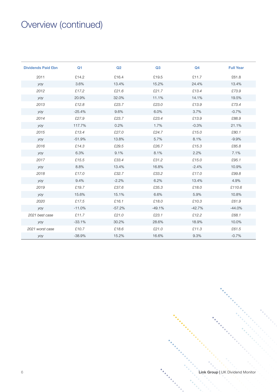| <b>Dividends Paid £bn</b> | Q <sub>1</sub> | Q2       | Q3       | Q <sub>4</sub> | <b>Full Year</b> |
|---------------------------|----------------|----------|----------|----------------|------------------|
| 2011                      | £14.2          | £16.4    | £19.5    | £11.7          | £61.8            |
| yoy                       | 3.6%           | 13.4%    | 15.2%    | 24.4%          | 13.4%            |
| 2012                      | £17.2          | £21.6    | £21.7    | £13.4          | £73.9            |
| yoy                       | 20.9%          | 32.0%    | 11.1%    | 14.1%          | 19.5%            |
| 2013                      | £12.8          | £23.7    | £23.0    | £13.9          | £73.4            |
| yoy                       | $-25.4%$       | 9.6%     | 6.0%     | 3.7%           | $-0.7%$          |
| 2014                      | £27.9          | £23.7    | £23.4    | £13.9          | £88.9            |
| yoy                       | 117.7%         | 0.2%     | 1.7%     | $-0.3%$        | 21.1%            |
| 2015                      | £13.4          | £27.0    | £24.7    | £15.0          | £80.1            |
| yoy                       | $-51.9%$       | 13.8%    | 5.7%     | 8.1%           | $-9.9%$          |
| 2016                      | £14.3          | £29.5    | £26.7    | £15.3          | £85.8            |
| yoy                       | 6.3%           | 9.1%     | 8.1%     | 2.2%           | 7.1%             |
| 2017                      | £15.5          | £33.4    | £31.2    | £15.0          | £95.1            |
| yoy                       | 8.8%           | 13.4%    | 16.8%    | $-2.4%$        | 10.9%            |
| 2018                      | £17.0          | £32.7    | £33.2    | £17.0          | £99.8            |
| yoy                       | 9.4%           | $-2.2%$  | 6.2%     | 13.4%          | 4.9%             |
| 2019                      | £19.7          | £37.6    | £35.3    | £18.0          | £110.6           |
| yoy                       | 15.6%          | 15.1%    | 6.6%     | 5.9%           | 10.8%            |
| 2020                      | £17.5          | £16.1    | £18.0    | £10.3          | £61.9            |
| yoy                       | $-11.0%$       | $-57.2%$ | $-49.1%$ | $-42.7%$       | $-44.0%$         |
| 2021 best case            | £11.7          | £21.0    | £23.1    | £12.2          | £68.1            |
| yoy                       | $-33.1%$       | 30.2%    | 28.6%    | 18.9%          | 10.0%            |
| 2021 worst case           | £10.7          | £18.6    | £21.0    | £11.3          | £61.5            |
| yoy                       | $-38.9%$       | 15.2%    | 16.6%    | 9.3%           | $-0.7%$          |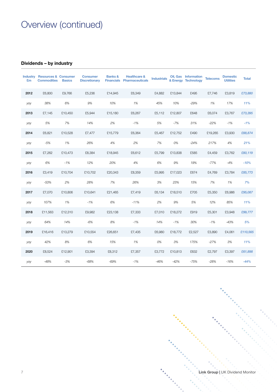### Dividends – by industry

| <b>Industry</b><br>£m | <b>Resources &amp; Consumer</b><br><b>Commodities</b> | <b>Basics</b> | <b>Consumer</b><br><b>Discretionary</b> | <b>Banks &amp;</b> | <b>Healthcare &amp;</b><br><b>Financials Pharmaceuticals</b> | <b>Industrials</b> |         | Oil, Gas Information<br>& Energy Technology | <b>Telecoms</b> | <b>Domestic</b><br><b>Utilities</b> | <b>Total</b> |
|-----------------------|-------------------------------------------------------|---------------|-----------------------------------------|--------------------|--------------------------------------------------------------|--------------------|---------|---------------------------------------------|-----------------|-------------------------------------|--------------|
| 2012                  | £6,800                                                | £9,766        | £5,236                                  | £14,945            | £6,349                                                       | £4,882             | £13,844 | £495                                        | £7,746          | £3,819                              | £73,880      |
| yoy                   | 38%                                                   | 6%            | 9%                                      | 10%                | 1%                                                           | 45%                | 10%     | $-29%$                                      | 1%              | 17%                                 | 11%          |
| 2013                  | £7,145                                                | £10,450       | £5,944                                  | £15,180            | £6,267                                                       | £5,112             | £12,807 | £648                                        | £6,074          | £3,767                              | £73,395      |
| yoy                   | 5%                                                    | 7%            | 14%                                     | 2%                 | $-1%$                                                        | 5%                 | $-7%$   | 31%                                         | $-22%$          | $-1%$                               | $-1%$        |
| 2014                  | £6,821                                                | £10,528       | £7,477                                  | £15,779            | £6,364                                                       | £5,467             | £12,752 | £490                                        | £19,265         | £3,930                              | £88,874      |
| yoy                   | $-5%$                                                 | 1%            | 26%                                     | 4%                 | 2%                                                           | 7%                 | 0%      | $-24%$                                      | 217%            | 4%                                  | 21%          |
| 2015                  | £7,262                                                | £10,473       | £8,384                                  | £18,945            | £6,612                                                       | £5,799             | £13,838 | £585                                        | £4,459          | £3,762                              | £80,119      |
| yoy                   | 6%                                                    | $-1%$         | 12%                                     | 20%                | 4%                                                           | 6%                 | 9%      | 19%                                         | $-77%$          | $-4%$                               | $-10%$       |
| 2016                  | £3,419                                                | £10,704       | £10,702                                 | £20,343            | £8,359                                                       | £5,995             | £17,023 | £674                                        | £4,769          | £3,784                              | £85,773      |
| yoy                   | $-53%$                                                | 2%            | 28%                                     | 7%                 | 26%                                                          | 3%                 | 23%     | 15%                                         | 7%              | 1%                                  | 7%           |
| 2017                  | £7,070                                                | £10,806       | £10,641                                 | £21,465            | £7,419                                                       | £6,134             | £18,510 | £705                                        | £5,350          | £6,986                              | £95,087      |
| yoy                   | 107%                                                  | 1%            | $-1%$                                   | 6%                 | $-11%$                                                       | 2%                 | 9%      | 5%                                          | 12%             | 85%                                 | 11%          |
| 2018                  | £11,563                                               | £12,310       | £9,982                                  | £23,138            | £7,333                                                       | £7,010             | £18,272 | £919                                        | £5,301          | £3,948                              | £99,777      |
| yoy                   | 64%                                                   | 14%           | $-6%$                                   | 8%                 | $-1%$                                                        | 14%                | $-1%$   | 30%                                         | $-1%$           | $-43%$                              | 5%           |
| 2019                  | £16,416                                               | £13,279       | £10,554                                 | £26,651            | £7,435                                                       | £6,980             | £18,772 | £2,527                                      | £3,890          | £4,061                              | £110,565     |
| yoy                   | 42%                                                   | 8%            | 6%                                      | 15%                | 1%                                                           | 0%                 | 3%      | 175%                                        | $-27%$          | 3%                                  | 11%          |
| 2020                  | £8,524                                                | £12,901       | £3,394                                  | £8,312             | £7,357                                                       | £3,772             | £10,813 | £632                                        | £2,797          | £3,397                              | £61,898      |
| yoy                   | $-48%$                                                | $-3%$         | $-68%$                                  | $-69%$             | $-1%$                                                        | $-46%$             | $-42%$  | $-75%$                                      | $-28%$          | $-16%$                              | $-44%$       |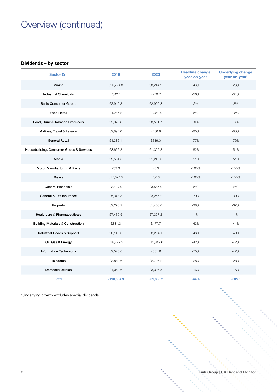#### Dividends – by sector

| <b>Sector £m</b>                             | 2019       | 2020      | <b>Headline change</b><br>year-on-year | <b>Underlying change</b><br>year-on-year <sup>*</sup> |
|----------------------------------------------|------------|-----------|----------------------------------------|-------------------------------------------------------|
| Mining                                       | £15,774.3  | £8,244.2  | $-48%$                                 | $-26%$                                                |
| <b>Industrial Chemicals</b>                  | £642.1     | £279.7    | $-56%$                                 | $-34%$                                                |
| <b>Basic Consumer Goods</b>                  | £2,919.8   | £2,990.3  | 2%                                     | 2%                                                    |
| <b>Food Retail</b>                           | £1,285.2   | £1,349.0  | 5%                                     | 22%                                                   |
| Food, Drink & Tobacco Producers              | £9,073.8   | £8,561.7  | $-6%$                                  | $-6%$                                                 |
| Airlines, Travel & Leisure                   | £2,894.0   | £436.8    | $-85%$                                 | $-80%$                                                |
| <b>General Retail</b>                        | £1,386.1   | £319.0    | $-77%$                                 | $-76%$                                                |
| Housebuilding, Consumer Goods & Services     | £3,666.2   | £1,395.8  | $-62%$                                 | $-54%$                                                |
| Media                                        | £2,554.5   | £1,242.0  | $-51%$                                 | $-51%$                                                |
| Motor Manufacturing & Parts                  | £53.3      | £0.0      | $-100%$                                | $-100%$                                               |
| <b>Banks</b>                                 | £15,624.5  | £60.5     | $-100%$                                | $-100%$                                               |
| <b>General Financials</b>                    | £3,407.9   | £3,587.0  | 5%                                     | 2%                                                    |
| General & Life Insurance                     | £5,348.8   | £3,256.2  | $-39%$                                 | $-39%$                                                |
| Property                                     | £2,270.2   | £1,408.0  | $-38%$                                 | $-37%$                                                |
| <b>Healthcare &amp; Pharmaceuticals</b>      | £7,435.5   | £7,357.2  | $-1%$                                  | $-1%$                                                 |
| <b>Building Materials &amp; Construction</b> | £831.3     | £477.7    | $-43%$                                 | $-41%$                                                |
| Industrial Goods & Support                   | £6,148.3   | £3,294.1  | $-46%$                                 | $-40%$                                                |
| Oil, Gas & Energy                            | £18,772.5  | £10,812.6 | $-42%$                                 | $-42%$                                                |
| <b>Information Technology</b>                | £2,526.6   | £631.6    | $-75%$                                 | $-47%$                                                |
| <b>Telecoms</b>                              | £3,889.6   | £2,797.2  | $-28%$                                 | $-28%$                                                |
| <b>Domestic Utilities</b>                    | £4,060.6   | £3,397.5  | $-16%$                                 | $-16%$                                                |
| <b>Total</b>                                 | £110,564.9 | £61,898.2 | $-44%$                                 | $-38%$ <sup>1</sup>                                   |

\*Underlying growth excludes special dividends.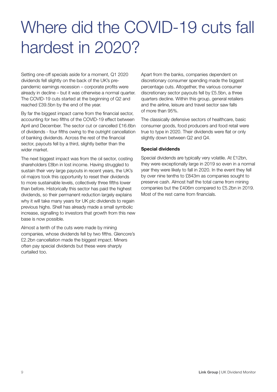## Where did the COVID-19 cuts fall hardest in 2020?

Setting one-off specials aside for a moment, Q1 2020 dividends fell slightly on the back of the UK's prepandemic earnings recession – corporate profits were already in decline – but it was otherwise a normal quarter. The COVID-19 cuts started at the beginning of Q2 and reached £39.5bn by the end of the year.

By far the biggest impact came from the financial sector, accounting for two fifths of the COVID-19 effect between April and December. The sector cut or cancelled £16.6bn of dividends - four fifths owing to the outright cancellation of banking dividends. Across the rest of the financial sector, payouts fell by a third, slightly better than the wider market.

The next biggest impact was from the oil sector, costing shareholders £8bn in lost income. Having struggled to sustain their very large payouts in recent years, the UK's oil majors took this opportunity to reset their dividends to more sustainable levels, collectively three fifths lower than before. Historically this sector has paid the highest dividends, so their permanent reduction largely explains why it will take many years for UK plc dividends to regain previous highs. Shell has already made a small symbolic increase, signalling to investors that growth from this new base is now possible.

Almost a tenth of the cuts were made by mining companies, whose dividends fell by two fifths. Glencore's £2.2bn cancellation made the biggest impact. Miners often pay special dividends but these were sharply curtailed too.

Apart from the banks, companies dependent on discretionary consumer spending made the biggest percentage cuts. Altogether, the various consumer discretionary sector payouts fell by £5.5bn, a three quarters decline. Within this group, general retailers and the airline, leisure and travel sector saw falls of more than 95%.

The classically defensive sectors of healthcare, basic consumer goods, food producers and food retail were true to type in 2020. Their dividends were flat or only slightly down between Q2 and Q4.

### Special dividends

Special dividends are typically very volatile. At £12bn, they were exceptionally large in 2019 so even in a normal year they were likely to fall in 2020. In the event they fell by over nine tenths to £843m as companies sought to preserve cash. Almost half the total came from mining companies but the £406m compared to £5.2bn in 2019. Most of the rest came from financials.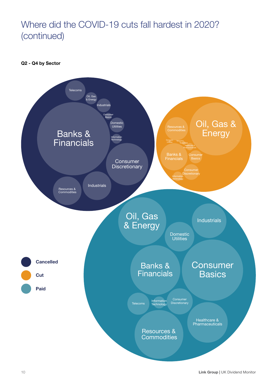### Where did the COVID-19 cuts fall hardest in 2020? (continued)

Q2 - Q4 by Sector

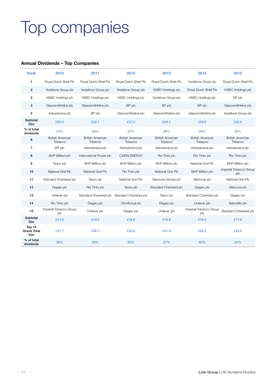## Top companies

#### Annual Dividends – Top Companies

| <b>Rank</b>                         | 2010                               | 2011                               | 2012                                          | 2013                               | 2014                               | 2015                               |
|-------------------------------------|------------------------------------|------------------------------------|-----------------------------------------------|------------------------------------|------------------------------------|------------------------------------|
| $\mathbf{1}$                        | Royal Dutch Shell Plc              | Royal Dutch Shell Plc              | Royal Dutch Shell Plc                         | Royal Dutch Shell Plc              | Vodafone Group plc                 | Royal Dutch Shell Plc              |
| $\overline{2}$                      | Vodafone Group plc                 | Vodafone Group plc                 | Vodafone Group plc                            | <b>HSBC Holdings plc</b>           | Royal Dutch Shell Plc              | <b>HSBC Holdings plc</b>           |
| 3                                   | <b>HSBC Holdings plc</b>           | <b>HSBC Holdings plc</b>           | <b>HSBC Holdings plc</b>                      | Vodafone Group plc                 | <b>HSBC Holdings plc</b>           | BP plc                             |
| $\overline{4}$                      | Glaxosmithkline plc                | Glaxosmithkline plc                | BP plc                                        | BP plc                             | BP plc                             | Glaxosmithkline plc                |
| 5                                   | Astrazeneca plc                    | BP plc                             | Glaxosmithkline plc                           | Glaxosmithkline plc                | Glaxosmithkline plc                | Vodafone Group plc                 |
| Subtotal<br>£bn                     | £20.2                              | £22.1                              | £27.2                                         | £26.1                              | £39.2                              | £25.9                              |
| % of total<br>dividends             | 37%                                | 36%                                | 37%                                           | 36%                                | 44%                                | 32%                                |
| 6                                   | <b>British American</b><br>Tobacco | <b>British American</b><br>Tobacco | <b>British American</b><br>Tobacco            | <b>British American</b><br>Tobacco | <b>British American</b><br>Tobacco | <b>British American</b><br>Tobacco |
| $\overline{7}$                      | BP plc                             | Astrazeneca plc                    | Astrazeneca plc                               | Astrazeneca plc                    | Astrazeneca plc                    | Astrazeneca plc                    |
| 8                                   | <b>BHP Billiton plc</b>            | International Power plc            | <b>CAIRN ENERGY</b>                           | Rio Tinto plc                      | Rio Tinto plc                      | Rio Tinto plc                      |
| 9                                   | Tesco plc                          | <b>BHP Billiton plc</b>            | <b>BHP Billiton plc</b>                       | <b>BHP Billiton plc</b>            | National Grid Plc                  | <b>BHP Billiton plc</b>            |
| 10                                  | National Grid Plc                  | National Grid Plc                  | Rio Tinto plc                                 | National Grid Plc                  | <b>BHP Billiton plc</b>            | Imperial Tobacco Group<br>plc      |
| 11                                  | Standard Chartered plc             | Tesco plc                          | National Grid Plc                             | Glencore Xstrata plc               | Glencore plc                       | National Grid Plc                  |
| 12                                  | Diageo plc                         | Rio Tinto plc                      | Tesco plc                                     | Standard Chartered plc             | Diageo plc                         | Glencore plc                       |
| 13                                  | Unilever plc                       |                                    | Standard Chartered plc Standard Chartered plc | Tesco plc                          | Standard Chartered plc             | Diageo plc                         |
| 14                                  | Rio Tinto plc                      | Diageo plc                         | Old Mutual plc                                | Diageo plc                         | Unilever plc                       | Sabmiller plc                      |
| 15                                  | Imperial Tobacco Group<br>plc      | Unilever plc                       | Diageo plc                                    | Unilever plc                       | Imperial Tobacco Group<br>plc      | Standard Chartered plc             |
| Subtotal<br>£bn                     | £11.5                              | £14.2                              | £15.8                                         | £15.8                              | £16.0                              | £17.6                              |
| Top 15<br><b>Grand Total</b><br>£bn | £31.7                              | £36.3                              | £43.0                                         | £41.9                              | £55.2                              | £43.5                              |
| % of total<br>dividends             | 58%                                | 59%                                | 58%                                           | 57%                                | 62%                                | 54%                                |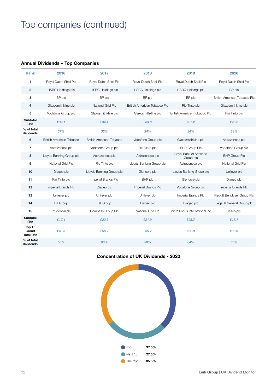### Top companies (continued)

### Annual Dividends – Top Companies

| <b>Rank</b>                  | 2016                     | 2017                     | 2018                         | 2019                                | 2020                         |
|------------------------------|--------------------------|--------------------------|------------------------------|-------------------------------------|------------------------------|
| 1                            | Royal Dutch Shell Plc    | Royal Dutch Shell Plc    | Royal Dutch Shell Plc        | Royal Dutch Shell Plc               | Royal Dutch Shell Plc        |
| $\overline{2}$               | <b>HSBC Holdings plc</b> | <b>HSBC Holdings plc</b> | <b>HSBC Holdings plc</b>     | <b>HSBC Holdings plc</b>            | BP plc                       |
| 3                            | BP plc                   | BP plc                   | BP plc                       | BP plc                              | British American Tobacco Plc |
| 4                            | Glaxosmithkline plc      | National Grid Plc        | British American Tobacco Plc | Rio Tinto plc                       | Glaxosmithkline plc          |
| 5                            | Vodafone Group plc       | Glaxosmithkline plc      | Glaxosmithkline plc          | British American Tobacco Plc        | Rio Tinto plc                |
| Subtotal<br>£bn              | £32.1                    | £34.4                    | £33.8                        | £37.2                               | £23.2                        |
| % of total<br>dividends      | 37%                      | 36%                      | 34%                          | 34%                                 | 38%                          |
| 6                            | British American Tobacco | British American Tobacco | Vodafone Group plc           | Glaxosmithkline plc                 | Astrazeneca plc              |
| $\overline{7}$               | Astrazeneca plc          | Vodafone Group plc       | Rio Tinto plc                | <b>BHP Group Plc</b>                | Vodafone Group plc           |
| 8                            | Lloyds Banking Group plc | Astrazeneca plc          | Astrazeneca plc              | Royal Bank of Scotland<br>Group plc | <b>BHP Group Plc</b>         |
| 9                            | National Grid Plc        | Rio Tinto plc            | Lloyds Banking Group plc     | Astrazeneca plc                     | National Grid Plc            |
| 10                           | Diageo plc               | Lloyds Banking Group plc | Glencore plc                 | Lloyds Banking Group plc            | Unilever plc                 |
| 11                           | Rio Tinto plc            | Imperial Brands Plc      | BHP plc                      | Glencore plc                        | Diageo plc                   |
| 12                           | Imperial Brands Plc      | Diageo plc               | Imperial Brands Plc          | Vodafone Group plc                  | Imperial Brands Plc          |
| 13                           | Unilever plc             | Unilever plc             | Unilever plc                 | Imperial Brands Plc                 | Reckitt Benckiser Group Plc  |
| 14                           | <b>BT</b> Group          | <b>BT</b> Group          | Diageo plc                   | Diageo plc                          | Legal & General Group plc    |
| 15                           | Prudential plc           | Compass Group Plc        | National Grid Plc            | Micro Focus International Plc       | Tesco plc                    |
| Subtotal<br>£bn              | £17.4                    | £22.3                    | £21.9                        | £25.7                               | £16.7                        |
| Top 15<br>Grand<br>Total £bn | £49.5                    | £56.7                    | £55.7                        | £62.9                               | £39.9                        |
| % of total<br>dividends      | 58%                      | 60%                      | 58%                          | 64%                                 | 65%                          |

#### Concentration of UK Dividends - 2020

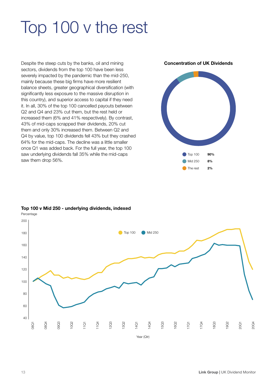## Top 100 v the rest

Despite the steep cuts by the banks, oil and mining sectors, dividends from the top 100 have been less severely impacted by the pandemic than the mid-250, mainly because these big firms have more resilient balance sheets, greater geographical diversification (with significantly less exposure to the massive disruption in this country), and superior access to capital if they need it. In all, 30% of the top 100 cancelled payouts between Q2 and Q4 and 23% cut them, but the rest held or increased them (6% and 41% respectively). By contrast, 43% of mid-caps scrapped their dividends, 20% cut them and only 30% increased them. Between Q2 and Q4 by value, top 100 dividends fell 43% but they crashed 64% for the mid-caps. The decline was a little smaller once Q1 was added back. For the full year, the top 100 saw underlying dividends fall 35% while the mid-caps saw them drop 56%.

Concentration of UK Dividends



Top 100 v Mid 250 - underlying dividends, indexed

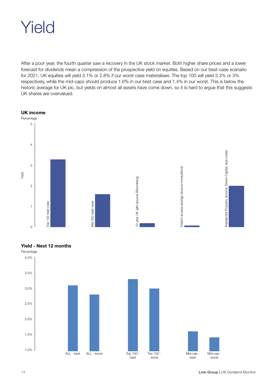## Yield

After a poor year, the fourth quarter saw a recovery in the UK stock market. Both higher share prices and a lower forecast for dividends mean a compression of the prospective yield on equities. Based on our best-case scenario for 2021, UK equities will yield 3.1% or 2.8% if our worst case materialises. The top 100 will yield 3.3% or 3% respectively, while the mid-caps should produce 1.6% in our best case and 1.4% in our worst. This is below the historic average for UK plc, but yields on almost all assets have come down, so it is hard to argue that this suggests UK shares are overvalued.





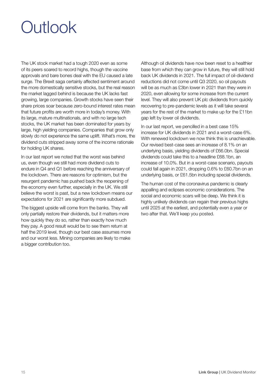## Outlook

The UK stock market had a tough 2020 even as some of its peers soared to record highs, though the vaccine approvals and bare bones deal with the EU caused a late surge. The Brexit saga certainly affected sentiment around the more domestically sensitive stocks, but the real reason the market lagged behind is because the UK lacks fast growing, large companies. Growth stocks have seen their share prices soar because zero-bound interest rates mean that future profits are worth more in today's money. With its large, mature multinationals, and with no large tech stocks, the UK market has been dominated for years by large, high yielding companies. Companies that grow only slowly do not experience the same uplift. What's more, the dividend cuts stripped away some of the income rationale for holding UK shares.

In our last report we noted that the worst was behind us, even though we still had more dividend cuts to endure in Q4 and Q1 before reaching the anniversary of the lockdown. There are reasons for optimism, but the resurgent pandemic has pushed back the reopening of the economy even further, especially in the UK. We still believe the worst is past, but a new lockdown means our expectations for 2021 are significantly more subdued.

The biggest upside will come from the banks. They will only partially restore their dividends, but it matters more how quickly they do so, rather than exactly how much they pay. A good result would be to see them return at half the 2019 level, though our best case assumes more and our worst less. Mining companies are likely to make a bigger contribution too.

Although oil dividends have now been reset to a healthier base from which they can grow in future, they will still hold back UK dividends in 2021. The full impact of oil-dividend reductions did not come until Q3 2020, so oil payouts will be as much as £3bn lower in 2021 than they were in 2020, even allowing for some increase from the current level. They will also prevent UK plc dividends from quickly recovering to pre-pandemic levels as it will take several years for the rest of the market to make up for the £11bn gap left by lower oil dividends.

In our last report, we pencilled in a best case 15% increase for UK dividends in 2021 and a worst-case 6%. With renewed lockdown we now think this is unachievable. Our revised best-case sees an increase of 8.1% on an underlying basis, yielding dividends of £66.0bn. Special dividends could take this to a headline £68.1bn, an increase of 10.0%. But in a worst-case scenario, payouts could fall again in 2021, dropping 0.6% to £60.7bn on an underlying basis, or £61.5bn including special dividends.

The human cost of the coronavirus pandemic is clearly appalling and eclipses economic considerations. The social and economic scars will be deep. We think it is highly unlikely dividends can regain their previous highs until 2025 at the earliest, and potentially even a year or two after that. We'll keep you posted.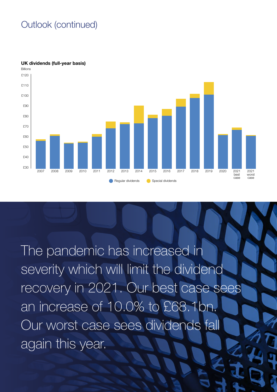### Outlook (continued)



UK dividends (full-year basis)

The pandemic has increased in severity which will limit the dividend recovery in 2021. Our best case sees an increase of 10.0% to £68.1bn. Our worst case sees dividends fall again this year.

 $16 \times 16 \times 16$  Monitoring Monitoring Monitoring Monitoring Monitoring Monitoring Monitoring Monitoring Monitoring Monitoring Monitoring Monitoring Monitoring Monitoring Monitoring Monitoring Monitoring Monitoring Monitori